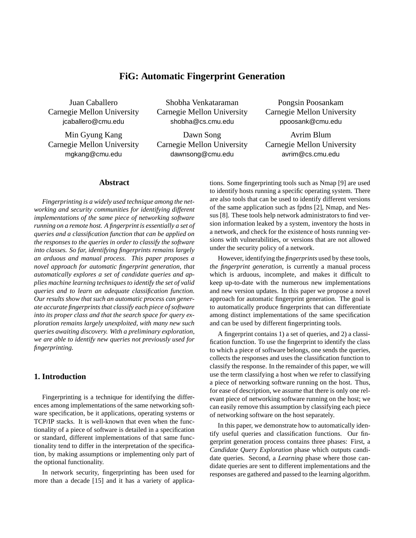# **FiG: Automatic Fingerprint Generation**

Juan Caballero Carnegie Mellon University jcaballero@cmu.edu

Min Gyung Kang Carnegie Mellon University mgkang@cmu.edu

Shobha Venkataraman Carnegie Mellon University shobha@cs.cmu.edu

Dawn Song Carnegie Mellon University dawnsong@cmu.edu

Pongsin Poosankam Carnegie Mellon University ppoosank@cmu.edu

Avrim Blum Carnegie Mellon University avrim@cs.cmu.edu

### **Abstract**

*Fingerprinting is a widely used technique among the networking and security communities for identifying different implementations of the same piece of networking software running on a remote host. A fingerprint is essentially a set of queries and a classification function that can be applied on the responses to the queries in order to classify the software into classes. So far, identifying fingerprints remains largely an arduous and manual process. This paper proposes a novel approach for automatic fingerprint generation, that automatically explores a set of candidate queries and applies machine learning techniques to identify the set of valid queries and to learn an adequate classification function. Our results show that such an automatic process can generate accurate fingerprints that classify each piece of software into its proper class and that the search space for query exploration remains largely unexploited, with many new such queries awaiting discovery. With a preliminary exploration, we are able to identify new queries not previously used for fingerprinting.*

### **1. Introduction**

Fingerprinting is a technique for identifying the differences among implementations of the same networking software specification, be it applications, operating systems or TCP/IP stacks. It is well-known that even when the functionality of a piece of software is detailed in a specification or standard, different implementations of that same functionality tend to differ in the interpretation of the specification, by making assumptions or implementing only part of the optional functionality.

In network security, fingerprinting has been used for more than a decade [15] and it has a variety of applications. Some fingerprinting tools such as Nmap [9] are used to identify hosts running a specific operating system. There are also tools that can be used to identify different versions of the same application such as fpdns [2], Nmap, and Nessus [8]. These tools help network administrators to find version information leaked by a system, inventory the hosts in a network, and check for the existence of hosts running versions with vulnerabilities, or versions that are not allowed under the security policy of a network.

However, identifying the *fingerprints* used by these tools, *the fingerprint generation*, is currently a manual process which is arduous, incomplete, and makes it difficult to keep up-to-date with the numerous new implementations and new version updates. In this paper we propose a novel approach for automatic fingerprint generation. The goal is to automatically produce fingerprints that can differentiate among distinct implementations of the same specification and can be used by different fingerprinting tools.

A fingerprint contains 1) a set of queries, and 2) a classification function. To use the fingerprint to identify the class to which a piece of software belongs, one sends the queries, collects the responses and uses the classification function to classify the response. In the remainder of this paper, we will use the term classifying a host when we refer to classifying a piece of networking software running on the host. Thus, for ease of description, we assume that there is only one relevant piece of networking software running on the host; we can easily remove this assumption by classifying each piece of networking software on the host separately.

In this paper, we demonstrate how to automatically identify useful queries and classification functions. Our fingerprint generation process contains three phases: First, a *Candidate Query Exploration* phase which outputs candidate queries. Second, a *Learning* phase where those candidate queries are sent to different implementations and the responses are gathered and passed to the learning algorithm.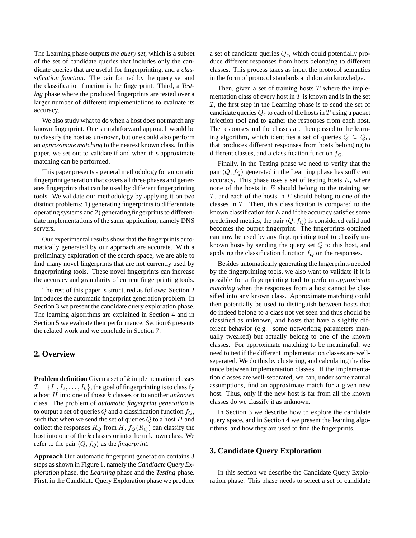The Learning phase outputs *the query set*, which is a subset of the set of candidate queries that includes only the candidate queries that are useful for fingerprinting, and a *classification function*. The pair formed by the query set and the classification function is the fingerprint. Third, a *Testing* phase where the produced fingerprints are tested over a larger number of different implementations to evaluate its accuracy.

We also study what to do when a host does not match any known fingerprint. One straightforward approach would be to classify the host as unknown, but one could also perform an *approximate matching* to the nearest known class. In this paper, we set out to validate if and when this approximate matching can be performed.

This paper presents a general methodology for automatic fingerprint generation that covers all three phases and generates fingerprints that can be used by different fingerprinting tools. We validate our methodology by applying it on two distinct problems: 1) generating fingerprints to differentiate operating systems and 2) generating fingerprints to differentiate implementations of the same application, namely DNS servers.

Our experimental results show that the fingerprints automatically generated by our approach are accurate. With a preliminary exploration of the search space, we are able to find many novel fingerprints that are not currently used by fingerprinting tools. These novel fingerprints can increase the accuracy and granularity of current fingerprinting tools.

The rest of this paper is structured as follows: Section 2 introduces the automatic fingerprint generation problem. In Section 3 we present the candidate query exploration phase. The learning algorithms are explained in Section 4 and in Section 5 we evaluate their performance. Section 6 presents the related work and we conclude in Section 7.

### **2. Overview**

**Problem definition** Given a set of k implementation classes  $\mathcal{I} = \{I_1, I_2, \ldots, I_k\}$ , the goal of fingerprinting is to classify a host H into one of those k classes or to another *unknown* class. The problem of *automatic fingerprint generation* is to output a set of queries  $Q$  and a classification function  $f_Q$ , such that when we send the set of queries  $Q$  to a host  $H$  and collect the responses  $R_Q$  from H,  $f_Q(R_Q)$  can classify the host into one of the  $k$  classes or into the unknown class. We refer to the pair  $\langle Q, f_Q \rangle$  as the *fingerprint*.

**Approach** Our automatic fingerprint generation contains 3 steps as shown in Figure 1, namely the *Candidate Query Exploration* phase, the *Learning* phase and the *Testing* phase. First, in the Candidate Query Exploration phase we produce a set of candidate queries  $Q_c$ , which could potentially produce different responses from hosts belonging to different classes. This process takes as input the protocol semantics in the form of protocol standards and domain knowledge.

Then, given a set of training hosts  $T$  where the implementation class of every host in  $T$  is known and is in the set  $I$ , the first step in the Learning phase is to send the set of candidate queries  $Q_c$  to each of the hosts in T using a packet injection tool and to gather the responses from each host. The responses and the classes are then passed to the learning algorithm, which identifies a set of queries  $Q \subseteq Q_c$ , that produces different responses from hosts belonging to different classes, and a classification function  $f_Q$ .

Finally, in the Testing phase we need to verify that the pair  $\langle Q, f_Q \rangle$  generated in the Learning phase has sufficient accuracy. This phase uses a set of testing hosts  $E$ , where none of the hosts in  $E$  should belong to the training set  $T$ , and each of the hosts in  $E$  should belong to one of the classes in  $I$ . Then, this classification is compared to the known classification for  $E$  and if the accuracy satisfies some predefined metrics, the pair  $\langle Q, f_{Q} \rangle$  is considered valid and becomes the output fingerprint. The fingerprints obtained can now be used by any fingerprinting tool to classify unknown hosts by sending the query set Q to this host, and applying the classification function  $f_Q$  on the responses.

Besides automatically generating the fingerprints needed by the fingerprinting tools, we also want to validate if it is possible for a fingerprinting tool to perform *approximate matching* when the responses from a host cannot be classified into any known class. Approximate matching could then potentially be used to distinguish between hosts that do indeed belong to a class not yet seen and thus should be classified as unknown, and hosts that have a slightly different behavior (e.g. some networking parameters manually tweaked) but actually belong to one of the known classes. For approximate matching to be meaningful, we need to test if the different implementation classes are wellseparated. We do this by clustering, and calculating the distance between implementation classes. If the implementation classes are well-separated, we can, under some natural assumptions, find an approximate match for a given new host. Thus, only if the new host is far from all the known classes do we classify it as unknown.

In Section 3 we describe how to explore the candidate query space, and in Section 4 we present the learning algorithms, and how they are used to find the fingerprints.

### **3. Candidate Query Exploration**

In this section we describe the Candidate Query Exploration phase. This phase needs to select a set of candidate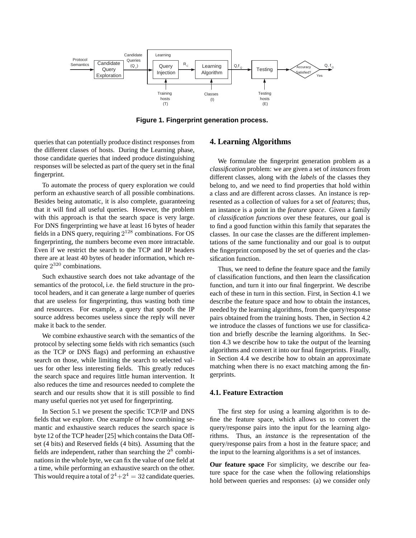

**Figure 1. Fingerprint generation process.**

queries that can potentially produce distinct responses from the different classes of hosts. During the Learning phase, those candidate queries that indeed produce distinguishing responses will be selected as part of the query set in the final fingerprint.

To automate the process of query exploration we could perform an exhaustive search of all possible combinations. Besides being automatic, it is also complete, guaranteeing that it will find all useful queries. However, the problem with this approach is that the search space is very large. For DNS fingerprinting we have at least 16 bytes of header fields in a DNS query, requiring  $2^{128}$  combinations. For OS fingerprinting, the numbers become even more intractable. Even if we restrict the search to the TCP and IP headers there are at least 40 bytes of header information, which require  $2^{320}$  combinations.

Such exhaustive search does not take advantage of the semantics of the protocol, i.e. the field structure in the protocol headers, and it can generate a large number of queries that are useless for fingerprinting, thus wasting both time and resources. For example, a query that spoofs the IP source address becomes useless since the reply will never make it back to the sender.

We combine exhaustive search with the semantics of the protocol by selecting some fields with rich semantics (such as the TCP or DNS flags) and performing an exhaustive search on those, while limiting the search to selected values for other less interesting fields. This greatly reduces the search space and requires little human intervention. It also reduces the time and resources needed to complete the search and our results show that it is still possible to find many useful queries not yet used for fingerprinting.

In Section 5.1 we present the specific TCP/IP and DNS fields that we explore. One example of how combining semantic and exhaustive search reduces the search space is byte 12 of the TCP header [25] which contains the Data Offset (4 bits) and Reserved fields (4 bits). Assuming that the fields are independent, rather than searching the  $2<sup>8</sup>$  combinations in the whole byte, we can fix the value of one field at a time, while performing an exhaustive search on the other. This would require a total of  $2^4+2^4=32$  candidate queries.

### **4. Learning Algorithms**

We formulate the fingerprint generation problem as a *classification* problem: we are given a set of *instances* from different classes, along with the *labels* of the classes they belong to, and we need to find properties that hold within a class and are different across classes. An instance is represented as a collection of values for a set of *features*; thus, an instance is a point in the *feature space*. Given a family of *classification functions* over these features, our goal is to find a good function within this family that separates the classes. In our case the classes are the different implementations of the same functionality and our goal is to output the fingerprint composed by the set of queries and the classification function.

Thus, we need to define the feature space and the family of classification functions, and then learn the classification function, and turn it into our final fingerprint. We describe each of these in turn in this section. First, in Section 4.1 we describe the feature space and how to obtain the instances, needed by the learning algorithms, from the query/response pairs obtained from the training hosts. Then, in Section 4.2 we introduce the classes of functions we use for classification and briefly describe the learning algorithms. In Section 4.3 we describe how to take the output of the learning algorithms and convert it into our final fingerprints. Finally, in Section 4.4 we describe how to obtain an approximate matching when there is no exact matching among the fingerprints.

### **4.1. Feature Extraction**

The first step for using a learning algorithm is to define the feature space, which allows us to convert the query/response pairs into the input for the learning algorithms. Thus, an *instance* is the representation of the query/response pairs from a host in the feature space; and the input to the learning algorithms is a set of instances.

**Our feature space** For simplicity, we describe our feature space for the case when the following relationships hold between queries and responses: (a) we consider only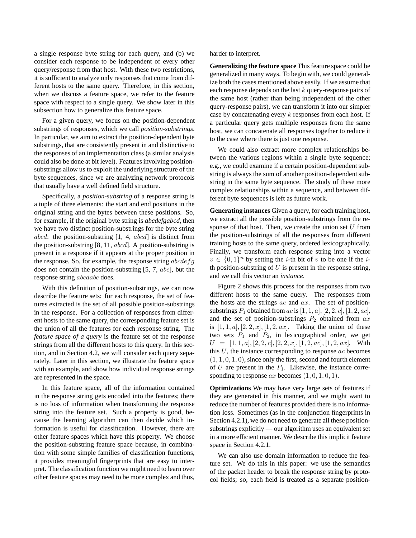a single response byte string for each query, and (b) we consider each response to be independent of every other query/response from that host. With these two restrictions, it is sufficient to analyze only responses that come from different hosts to the same query. Therefore, in this section, when we discuss a feature space, we refer to the feature space with respect to a single query. We show later in this subsection how to generalize this feature space.

For a given query, we focus on the position-dependent substrings of responses, which we call *position-substrings*. In particular, we aim to extract the position-dependent byte substrings, that are consistently present in and distinctive to the responses of an implementation class (a similar analysis could also be done at bit level). Features involving positionsubstrings allow us to exploit the underlying structure of the byte sequences, since we are analyzing network protocols that usually have a well defined field structure.

Specifically, a *position-substring* of a response string is a tuple of three elements: the start and end positions in the original string and the bytes between these positions. So, for example, if the original byte string is *abcdefgabcd*, then we have two distinct position-substrings for the byte string *abcd*: the position-substring  $[1, 4, abcd]$  is distinct from the position-substring  $[8, 11, abcd]$ . A position-substring is present in a response if it appears at the proper position in the response. So, for example, the response string  $abcdefg$ does not contain the position-substring [5, 7, abc], but the response string abcdabc does.

With this definition of position-substrings, we can now describe the feature sets: for each response, the set of features extracted is the set of all possible position-substrings in the response. For a collection of responses from different hosts to the same query, the corresponding feature set is the union of all the features for each response string. The *feature space of a query* is the feature set of the response strings from all the different hosts to this query. In this section, and in Section 4.2, we will consider each query separately. Later in this section, we illustrate the feature space with an example, and show how individual response strings are represented in the space.

In this feature space, all of the information contained in the response string gets encoded into the features; there is no loss of information when transforming the response string into the feature set. Such a property is good, because the learning algorithm can then decide which information is useful for classification. However, there are other feature spaces which have this property. We choose the position-substring feature space because, in combination with some simple families of classification functions, it provides meaningful fingerprints that are easy to interpret. The classification function we might need to learn over other feature spaces may need to be more complex and thus,

harder to interpret.

**Generalizing the feature space** This feature space could be generalized in many ways. To begin with, we could generalize both the cases mentioned above easily. If we assume that each response depends on the last k query-response pairs of the same host (rather than being independent of the other query-response pairs), we can transform it into our simpler case by concatenating every  $k$  responses from each host. If a particular query gets multiple responses from the same host, we can concatenate all responses together to reduce it to the case where there is just one response.

We could also extract more complex relationships between the various regions within a single byte sequence; e.g., we could examine if a certain position-dependent substring is always the sum of another position-dependent substring in the same byte sequence. The study of these more complex relationships within a sequence, and between different byte sequences is left as future work.

**Generating instances** Given a query, for each training host, we extract all the possible position-substrings from the response of that host. Then, we create the union set  $U$  from the position-substrings of all the responses from different training hosts to the same query, ordered lexicographically. Finally, we transform each response string into a vector  $v \in \{0,1\}^n$  by setting the *i*-th bit of v to be one if the *i*th position-substring of  $U$  is present in the response string, and we call this vector an *instance*.

Figure 2 shows this process for the responses from two different hosts to the same query. The responses from the hosts are the strings  $ac$  and  $ax$ . The set of positionsubstrings  $P_1$  obtained from ac is  $[1, 1, a]$ ,  $[2, 2, c]$ ,  $[1, 2, ac]$ , and the set of position-substrings  $P_2$  obtained from  $ax$ is  $[1, 1, a], [2, 2, x], [1, 2, ax].$  Taking the union of these two sets  $P_1$  and  $P_2$ , in lexicographical order, we get  $U = [1, 1, a], [2, 2, c], [2, 2, x], [1, 2, ac], [1, 2, ax].$  With this  $U$ , the instance corresponding to response  $ac$  becomes  $(1, 1, 0, 1, 0)$ , since only the first, second and fourth element of U are present in the  $P_1$ . Likewise, the instance corresponding to response  $ax$  becomes  $(1, 0, 1, 0, 1)$ .

**Optimizations** We may have very large sets of features if they are generated in this manner, and we might want to reduce the number of features provided there is no information loss. Sometimes (as in the conjunction fingerprints in Section 4.2.1), we do not need to generate all these positionsubstrings explicitly — our algorithm uses an equivalent set in a more efficient manner. We describe this implicit feature space in Section 4.2.1.

We can also use domain information to reduce the feature set. We do this in this paper: we use the semantics of the packet header to break the response string by protocol fields; so, each field is treated as a separate position-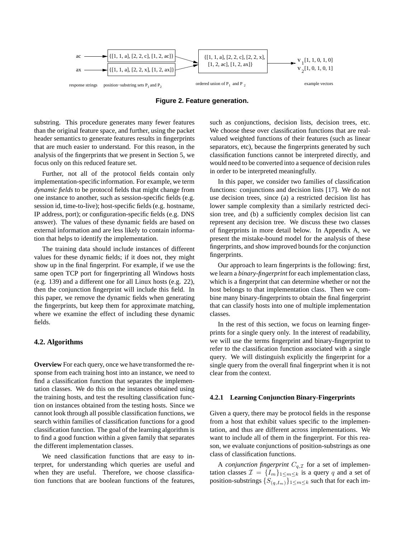

**Figure 2. Feature generation.**

substring. This procedure generates many fewer features than the original feature space, and further, using the packet header semantics to generate features results in fingerprints that are much easier to understand. For this reason, in the analysis of the fingerprints that we present in Section 5, we focus only on this reduced feature set.

Further, not all of the protocol fields contain only implementation-specific information. For example, we term *dynamic fields* to be protocol fields that might change from one instance to another, such as session-specific fields (e.g. session id, time-to-live); host-specific fields (e.g. hostname, IP address, port); or configuration-specific fields (e.g. DNS answer). The values of these dynamic fields are based on external information and are less likely to contain information that helps to identify the implementation.

The training data should include instances of different values for these dynamic fields; if it does not, they might show up in the final fingerprint. For example, if we use the same open TCP port for fingerprinting all Windows hosts (e.g. 139) and a different one for all Linux hosts (e.g. 22), then the conjunction fingerprint will include this field. In this paper, we remove the dynamic fields when generating the fingerprints, but keep them for approximate matching, where we examine the effect of including these dynamic fields.

#### **4.2. Algorithms**

**Overview** For each query, once we have transformed the response from each training host into an instance, we need to find a classification function that separates the implementation classes. We do this on the instances obtained using the training hosts, and test the resulting classification function on instances obtained from the testing hosts. Since we cannot look through all possible classification functions, we search within families of classification functions for a good classification function. The goal of the learning algorithm is to find a good function within a given family that separates the different implementation classes.

We need classification functions that are easy to interpret, for understanding which queries are useful and when they are useful. Therefore, we choose classification functions that are boolean functions of the features, such as conjunctions, decision lists, decision trees, etc. We choose these over classification functions that are realvalued weighted functions of their features (such as linear separators, etc), because the fingerprints generated by such classification functions cannot be interpreted directly, and would need to be converted into a sequence of decision rules in order to be interpreted meaningfully.

In this paper, we consider two families of classification functions: conjunctions and decision lists [17]. We do not use decision trees, since (a) a restricted decision list has lower sample complexity than a similarly restricted decision tree, and (b) a sufficiently complex decision list can represent any decision tree. We discuss these two classes of fingerprints in more detail below. In Appendix A, we present the mistake-bound model for the analysis of these fingerprints, and show improved bounds for the conjunction fingerprints.

Our approach to learn fingerprints is the following: first, we learn a *binary-fingerprint* for each implementation class, which is a fingerprint that can determine whether or not the host belongs to that implementation class. Then we combine many binary-fingerprints to obtain the final fingerprint that can classify hosts into one of multiple implementation classes.

In the rest of this section, we focus on learning fingerprints for a single query only. In the interest of readability, we will use the terms fingerprint and binary-fingerprint to refer to the classification function associated with a single query. We will distinguish explicitly the fingerprint for a single query from the overall final fingerprint when it is not clear from the context.

#### **4.2.1 Learning Conjunction Binary-Fingerprints**

Given a query, there may be protocol fields in the response from a host that exhibit values specific to the implementation, and thus are different across implementations. We want to include all of them in the fingerprint. For this reason, we evaluate conjunctions of position-substrings as one class of classification functions.

A *conjunction fingerprint*  $C_{q,\mathcal{I}}$  for a set of implementation classes  $\mathcal{I} = \{I_m\}_{1 \le m \le k}$  is a query q and a set of position-substrings  $\{S_{(q,I_m)}\}_{1 \leq m \leq k}$  such that for each im-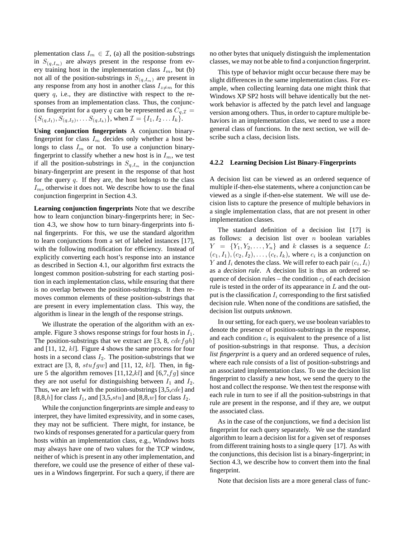plementation class  $I_m \in \mathcal{I}$ , (a) all the position-substrings in  $S_{(q,I_m)}$  are always present in the response from every training host in the implementation class  $I_m$ , but (b) not all of the position-substrings in  $S_{(q,I_m)}$  are present in any response from any host in another class  $I_{z\neq m}$  for this query  $q$ , i.e., they are distinctive with respect to the responses from an implementation class. Thus, the conjunction fingerprint for a query q can be represented as  $C_{q,\mathcal{I}} =$  $\{S_{(q,I_1)}, S_{(q,I_2)}, \ldots S_{(q,I_k)}\}$ , when  $\mathcal{I} = \{I_1, I_2 \ldots I_k\}$ .

**Using conjunction fingerprints** A conjunction binaryfingerprint for class  $I_m$  decides only whether a host belongs to class  $I_m$  or not. To use a conjunction binaryfingerprint to classify whether a new host is in  $I_m$ , we test if all the position-substrings in  $S_{q,I_m}$  in the conjunction binary-fingerprint are present in the response of that host for the query  $q$ . If they are, the host belongs to the class  $I_m$ , otherwise it does not. We describe how to use the final conjunction fingerprint in Section 4.3.

**Learning conjunction fingerprints** Note that we describe how to learn conjunction binary-fingerprints here; in Section 4.3, we show how to turn binary-fingerprints into final fingerprints. For this, we use the standard algorithm to learn conjunctions from a set of labeled instances [17], with the following modification for efficiency. Instead of explicitly converting each host's response into an instance as described in Section 4.1, our algorithm first extracts the longest common position-substring for each starting position in each implementation class, while ensuring that there is no overlap between the position-substrings. It then removes common elements of these position-substrings that are present in every implementation class. This way, the algorithm is linear in the length of the response strings.

We illustrate the operation of the algorithm with an example. Figure 3 shows response strings for four hosts in  $I_1$ . The position-substrings that we extract are [3, 8,  $cdefdh$ ] and [11, 12, kl]. Figure 4 shows the same process for four hosts in a second class  $I_2$ . The position-substrings that we extract are  $[3, 8, stufgw]$  and  $[11, 12, kl]$ . Then, in figure 5 the algorithm removes  $[11,12,kl]$  and  $[6,7,fg]$  since they are not useful for distinguishing between  $I_1$  and  $I_2$ . Thus, we are left with the position-substrings [3,5,cde] and [8,8,h] for class  $I_1$ , and [3,5,stu] and [8,8,w] for class  $I_2$ .

While the conjunction fingerprints are simple and easy to interpret, they have limited expressivity, and in some cases, they may not be sufficient. There might, for instance, be two kinds of responses generated for a particular query from hosts within an implementation class, e.g., Windows hosts may always have one of two values for the TCP window, neither of which is present in any other implementation, and therefore, we could use the presence of either of these values in a Windows fingerprint. For such a query, if there are no other bytes that uniquely distinguish the implementation classes, we may not be able to find a conjunction fingerprint.

This type of behavior might occur because there may be slight differences in the same implementation class. For example, when collecting learning data one might think that Windows XP SP2 hosts will behave identically but the network behavior is affected by the patch level and language version among others. Thus, in order to capture multiple behaviors in an implementation class, we need to use a more general class of functions. In the next section, we will describe such a class, decision lists.

#### **4.2.2 Learning Decision List Binary-Fingerprints**

A decision list can be viewed as an ordered sequence of multiple if-then-else statements, where a conjunction can be viewed as a single if-then-else statement. We will use decision lists to capture the presence of multiple behaviors in a single implementation class, that are not present in other implementation classes.

The standard definition of a decision list [17] is as follows: a decision list over  $n$  boolean variables  $Y = \{Y_1, Y_2, \ldots, Y_n\}$  and k classes is a sequence L:  $(c_1, I_1), (c_2, I_2), \ldots, (c_t, I_k)$ , where  $c_i$  is a conjunction on Y and  $I_i$  denotes the class. We will refer to each pair  $(c_i, I_i)$ as a *decision rule*. A decision list is thus an ordered sequence of decision rules – the condition  $c_i$  of each decision rule is tested in the order of its appearance in  $L$  and the output is the classification  $I_i$  corresponding to the first satisfied decision rule. When none of the conditions are satisfied, the decision list outputs *unknown*.

In our setting, for each query, we use boolean variables to denote the presence of position-substrings in the response, and each condition  $c_i$  is equivalent to the presence of a list of position-substrings in that response. Thus, a *decision list fingerprint* is a query and an ordered sequence of rules, where each rule consists of a list of position-substrings and an associated implementation class. To use the decision list fingerprint to classify a new host, we send the query to the host and collect the response. We then test the response with each rule in turn to see if all the position-substrings in that rule are present in the response, and if they are, we output the associated class.

As in the case of the conjunctions, we find a decision list fingerprint for each query separately. We use the standard algorithm to learn a decision list for a given set of responses from different training hosts to a single query [17]. As with the conjunctions, this decision list is a binary-fingerprint; in Section 4.3, we describe how to convert them into the final fingerprint.

Note that decision lists are a more general class of func-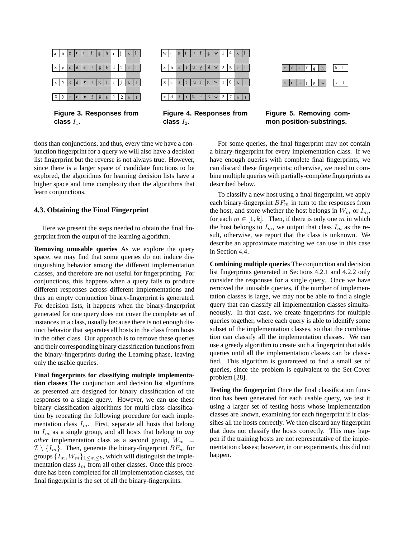

**Figure 3. Responses from** class  $I_1$ .



**Figure 4. Responses from** class  $I_2$ .



**Figure 5. Removing common position-substrings.**

tions than conjunctions, and thus, every time we have a conjunction fingerprint for a query we will also have a decision list fingerprint but the reverse is not always true. However, since there is a larger space of candidate functions to be explored, the algorithms for learning decision lists have a higher space and time complexity than the algorithms that For some queries, the final fingerprint may not contain a binary-fingerprint for every implementation class. If we have enough queries with complete final fingerprints, we can discard these fingerprints; otherwise, we need to combine multiple queries with partially-complete fingerprints as described below.

> To classify a new host using a final fingerprint, we apply each binary-fingerprint  $BF_m$  in turn to the responses from the host, and store whether the host belongs in  $W_m$  or  $I_m$ , for each  $m \in [1, k]$ . Then, if there is only one m in which the host belongs to  $I_m$ , we output that class  $I_m$  as the result, otherwise, we report that the class is unknown. We describe an approximate matching we can use in this case in Section 4.4.

> **Combining multiple queries** The conjunction and decision list fingerprints generated in Sections 4.2.1 and 4.2.2 only consider the responses for a single query. Once we have removed the unusable queries, if the number of implementation classes is large, we may not be able to find a single query that can classify all implementation classes simultaneously. In that case, we create fingerprints for multiple queries together, where each query is able to identify some subset of the implementation classes, so that the combination can classify all the implementation classes. We can use a greedy algorithm to create such a fingerprint that adds queries until all the implementation classes can be classified. This algorithm is guaranteed to find a small set of queries, since the problem is equivalent to the Set-Cover problem [28].

> **Testing the fingerprint** Once the final classification function has been generated for each usable query, we test it using a larger set of testing hosts whose implementation classes are known, examining for each fingerprint if it classifies all the hosts correctly. We then discard any fingerprint that does not classify the hosts correctly. This may happen if the training hosts are not representative of the implementation classes; however, in our experiments, this did not happen.

#### **4.3. Obtaining the Final Fingerprint**

learn conjunctions.

Here we present the steps needed to obtain the final fingerprint from the output of the learning algorithm.

**Removing unusable queries** As we explore the query space, we may find that some queries do not induce distinguishing behavior among the different implementation classes, and therefore are not useful for fingerprinting. For conjunctions, this happens when a query fails to produce different responses across different implementations and thus an empty conjunction binary-fingerprint is generated. For decision lists, it happens when the binary-fingerprint generated for one query does not cover the complete set of instances in a class, usually because there is not enough distinct behavior that separates all hosts in the class from hosts in the other class. Our approach is to remove these queries and their corresponding binary classification functions from the binary-fingerprints during the Learning phase, leaving only the usable queries.

**Final fingerprints for classifying multiple implementation classes** The conjunction and decision list algorithms as presented are designed for binary classification of the responses to a single query. However, we can use these binary classification algorithms for multi-class classification by repeating the following procedure for each implementation class  $I_m$ . First, separate all hosts that belong to  $I_m$  as a single group, and all hosts that belong to *any other* implementation class as a second group,  $W_m$  =  $\mathcal{I} \setminus \{I_m\}$ . Then, generate the binary-fingerprint  $BF_m$  for groups  $\{I_m, W_m\}_{1 \le m \le k}$ , which will distinguish the implementation class  $I_m$  from all other classes. Once this procedure has been completed for all implementation classes, the final fingerprint is the set of all the binary-fingerprints.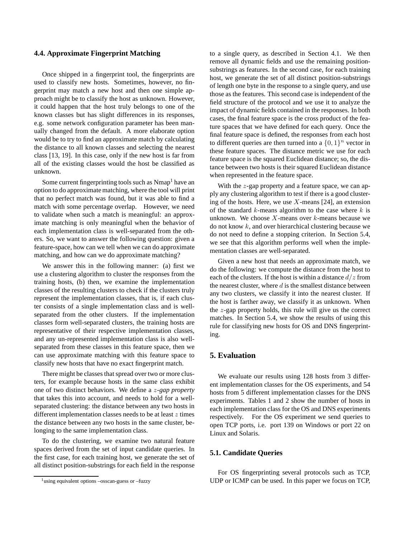#### **4.4. Approximate Fingerprint Matching**

Once shipped in a fingerprint tool, the fingerprints are used to classify new hosts. Sometimes, however, no fingerprint may match a new host and then one simple approach might be to classify the host as unknown. However, it could happen that the host truly belongs to one of the known classes but has slight differences in its responses, e.g. some network configuration parameter has been manually changed from the default. A more elaborate option would be to try to find an approximate match by calculating the distance to all known classes and selecting the nearest class [13, 19]. In this case, only if the new host is far from all of the existing classes would the host be classified as unknown.

Some current fingerprinting tools such as Nmap<sup>1</sup> have an option to do approximate matching, where the tool will print that no perfect match was found, but it was able to find a match with some percentage overlap. However, we need to validate when such a match is meaningful: an approximate matching is only meaningful when the behavior of each implementation class is well-separated from the others. So, we want to answer the following question: given a feature-space, how can we tell when we can do approximate matching, and how can we do approximate matching?

We answer this in the following manner: (a) first we use a clustering algorithm to cluster the responses from the training hosts, (b) then, we examine the implementation classes of the resulting clusters to check if the clusters truly represent the implementation classes, that is, if each cluster consists of a single implementation class and is wellseparated from the other clusters. If the implementation classes form well-separated clusters, the training hosts are representative of their respective implementation classes, and any un-represented implementation class is also wellseparated from these classes in this feature space, then we can use approximate matching with this feature space to classify new hosts that have no exact fingerprint match.

There might be classes that spread over two or more clusters, for example because hosts in the same class exhibit one of two distinct behaviors. We define a z*-gap property* that takes this into account, and needs to hold for a wellseparated clustering: the distance between any two hosts in different implementation classes needs to be at least  $z$  times the distance between any two hosts in the same cluster, belonging to the same implementation class.

To do the clustering, we examine two natural feature spaces derived from the set of input candidate queries. In the first case, for each training host, we generate the set of all distinct position-substrings for each field in the response to a single query, as described in Section 4.1. We then remove all dynamic fields and use the remaining positionsubstrings as features. In the second case, for each training host, we generate the set of all distinct position-substrings of length one byte in the response to a single query, and use those as the features. This second case is independent of the field structure of the protocol and we use it to analyze the impact of dynamic fields contained in the responses. In both cases, the final feature space is the cross product of the feature spaces that we have defined for each query. Once the final feature space is defined, the responses from each host to different queries are then turned into a  $\{0, 1\}^n$  vector in these feature spaces. The distance metric we use for each feature space is the squared Euclidean distance; so, the distance between two hosts is their squared Euclidean distance when represented in the feature space.

With the *z*-gap property and a feature space, we can apply any clustering algorithm to test if there is a good clustering of the hosts. Here, we use  $X$ -means [24], an extension of the standard  $k$ -means algorithm to the case where  $k$  is unknown. We choose  $X$ -means over  $k$ -means because we do not know  $k$ , and over hierarchical clustering because we do not need to define a stopping criterion. In Section 5.4, we see that this algorithm performs well when the implementation classes are well-separated.

Given a new host that needs an approximate match, we do the following: we compute the distance from the host to each of the clusters. If the host is within a distance  $d/z$  from the nearest cluster, where  $d$  is the smallest distance between any two clusters, we classify it into the nearest cluster. If the host is farther away, we classify it as unknown. When the  $z$ -gap property holds, this rule will give us the correct matches. In Section 5.4, we show the results of using this rule for classifying new hosts for OS and DNS fingerprinting.

### **5. Evaluation**

We evaluate our results using 128 hosts from 3 different implementation classes for the OS experiments, and 54 hosts from 5 different implementation classes for the DNS experiments. Tables 1 and 2 show the number of hosts in each implementation class for the OS and DNS experiments respectively. For the OS experiment we send queries to open TCP ports, i.e. port 139 on Windows or port 22 on Linux and Solaris.

#### **5.1. Candidate Queries**

For OS fingerprinting several protocols such as TCP, UDP or ICMP can be used. In this paper we focus on TCP,

<sup>&</sup>lt;sup>1</sup>using equivalent options –osscan-guess or –fuzzy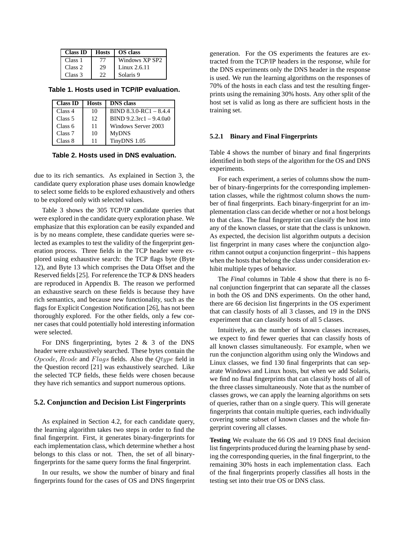| <b>Class ID</b> | <b>Hosts</b> | <b>OS</b> class |
|-----------------|--------------|-----------------|
| Class 1         | 77           | Windows XP SP2  |
| Class 2         | 29           | Linux $2.6.11$  |
| Class 3         | つつ           | Solaris 9       |

**Table 1. Hosts used in TCP/IP evaluation.**

| <b>Class ID</b>    | <b>Hosts</b> | <b>DNS</b> class          |
|--------------------|--------------|---------------------------|
| Class 4            | 10           | $BIND 8.3.0-RC1 - 8.4.4$  |
| Class 5            | 12           | $BIND 9.2.3rcl - 9.4.0aO$ |
| Class 6            | 11           | Windows Server 2003       |
| Class <sub>7</sub> | 10           | <b>MyDNS</b>              |
| Class 8            | 11           | TinyDNS 1.05              |

**Table 2. Hosts used in DNS evaluation.**

due to its rich semantics. As explained in Section 3, the candidate query exploration phase uses domain knowledge to select some fields to be explored exhaustively and others to be explored only with selected values.

Table 3 shows the 305 TCP/IP candidate queries that were explored in the candidate query exploration phase. We emphasize that this exploration can be easily expanded and is by no means complete, these candidate queries were selected as examples to test the validity of the fingerprint generation process. Three fields in the TCP header were explored using exhaustive search: the TCP flags byte (Byte 12), and Byte 13 which comprises the Data Offset and the Reserved fields [25]. For reference the TCP & DNS headers are reproduced in Appendix B. The reason we performed an exhaustive search on these fields is because they have rich semantics, and because new functionality, such as the flags for Explicit Congestion Notification [26], has not been thoroughly explored. For the other fields, only a few corner cases that could potentially hold interesting information were selected.

For DNS fingerprinting, bytes 2 & 3 of the DNS header were exhaustively searched. These bytes contain the Opcode, Rcode and Flags fields. Also the Qtype field in the Question record [21] was exhaustively searched. Like the selected TCP fields, these fields were chosen because they have rich semantics and support numerous options.

### **5.2. Conjunction and Decision List Fingerprints**

As explained in Section 4.2, for each candidate query, the learning algorithm takes two steps in order to find the final fingerprint. First, it generates binary-fingerprints for each implementation class, which determine whether a host belongs to this class or not. Then, the set of all binaryfingerprints for the same query forms the final fingerprint.

In our results, we show the number of binary and final fingerprints found for the cases of OS and DNS fingerprint generation. For the OS experiments the features are extracted from the TCP/IP headers in the response, while for the DNS experiments only the DNS header in the response is used. We run the learning algorithms on the responses of 70% of the hosts in each class and test the resulting fingerprints using the remaining 30% hosts. Any other split of the host set is valid as long as there are sufficient hosts in the training set.

#### **5.2.1 Binary and Final Fingerprints**

Table 4 shows the number of binary and final fingerprints identified in both steps of the algorithm for the OS and DNS experiments.

For each experiment, a series of columns show the number of binary-fingerprints for the corresponding implementation classes, while the rightmost column shows the number of final fingerprints. Each binary-fingerprint for an implementation class can decide whether or not a host belongs to that class. The final fingerprint can classify the host into any of the known classes, or state that the class is unknown. As expected, the decision list algorithm outputs a decision list fingerprint in many cases where the conjunction algorithm cannot output a conjunction fingerprint – this happens when the hosts that belong the class under consideration exhibit multiple types of behavior.

The *Final* columns in Table 4 show that there is no final conjunction fingerprint that can separate all the classes in both the OS and DNS experiments. On the other hand, there are 66 decision list fingerprints in the OS experiment that can classify hosts of all 3 classes, and 19 in the DNS experiment that can classify hosts of all 5 classes.

Intuitively, as the number of known classes increases, we expect to find fewer queries that can classify hosts of all known classes simultaneously. For example, when we run the conjunction algorithm using only the Windows and Linux classes, we find 130 final fingerprints that can separate Windows and Linux hosts, but when we add Solaris, we find no final fingerprints that can classify hosts of all of the three classes simultaneously. Note that as the number of classes grows, we can apply the learning algorithms on sets of queries, rather than on a single query. This will generate fingerprints that contain multiple queries, each individually covering some subset of known classes and the whole fingerprint covering all classes.

**Testing** We evaluate the 66 OS and 19 DNS final decision list fingerprints produced during the learning phase by sending the corresponding queries, in the final fingerprint, to the remaining 30% hosts in each implementation class. Each of the final fingerprints properly classifies all hosts in the testing set into their true OS or DNS class.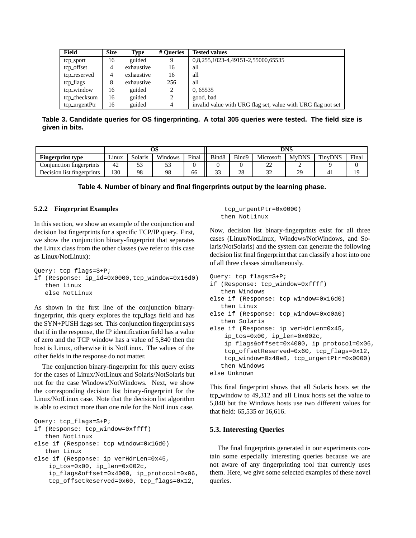| Field         | <b>Size</b> | <b>Type</b> | # Oueries | <b>Tested values</b>                                         |
|---------------|-------------|-------------|-----------|--------------------------------------------------------------|
| tcp_sport     | 16          | guided      | 9         | 0,8,255,1023-4,49151-2,55000,65535                           |
| tcp_offset    | 4           | exhaustive  | 16        | all                                                          |
| tcp_reserved  | 4           | exhaustive  | 16        | all                                                          |
| tcp_flags     | 8           | exhaustive  | 256       | all                                                          |
| tcp_window    | 16          | guided      | 2         | 0,65535                                                      |
| tcp_checksum  | 16          | guided      | 2         | good, bad                                                    |
| tcp urgentPtr | 16          | guided      | 4         | invalid value with URG flag set, value with URG flag not set |

**Table 3. Candidate queries for OS fingerprinting. A total 305 queries were tested. The field size is given in bits.**

|                            | OS    |         |         |       | <b>DNS</b>        |       |               |              |                |       |
|----------------------------|-------|---------|---------|-------|-------------------|-------|---------------|--------------|----------------|-------|
| <b>Fingerprint type</b>    | Linux | Solaris | Windows | Final | Bind <sub>8</sub> | Bind9 | Microsoft     | <b>MvDNS</b> | <b>TinvDNS</b> | Final |
| Conjunction fingerprints   | 42    | Эć      |         |       |                   |       | nη<br>∼       |              |                |       |
| Decision list fingerprints | 130   | 98      | 98      | 66    | $\sim$<br>ر ر     | 28    | $\sim$<br>ے ر | 29           | 4 <sub>1</sub> | 10    |

#### **5.2.2 Fingerprint Examples**

In this section, we show an example of the conjunction and decision list fingerprints for a specific TCP/IP query. First, we show the conjunction binary-fingerprint that separates the Linux class from the other classes (we refer to this case as Linux/NotLinux):

```
Query: tcp_flags=S+P;
if (Response: ip_id=0x0000,tcp_window=0x16d0)
   then Linux
   else NotLinux
```
As shown in the first line of the conjunction binaryfingerprint, this query explores the tcp flags field and has the SYN+PUSH flags set. This conjunction fingerprint says that if in the response, the IP identification field has a value of zero and the TCP window has a value of 5,840 then the host is Linux, otherwise it is NotLinux. The values of the other fields in the response do not matter.

The conjunction binary-fingerprint for this query exists for the cases of Linux/NotLinux and Solaris/NotSolaris but not for the case Windows/NotWindows. Next, we show the corresponding decision list binary-fingerprint for the Linux/NotLinux case. Note that the decision list algorithm is able to extract more than one rule for the NotLinux case.

```
Query: tcp_flags=S+P;
if (Response: tcp_window=0xffff)
   then NotLinux
else if (Response: tcp_window=0x16d0)
   then Linux
else if (Response: ip_verHdrLen=0x45,
    ip_tos=0x00, ip_len=0x002c,
    ip_flags&offset=0x4000, ip_protocol=0x06,
    tcp_offsetReserved=0x60, tcp_flags=0x12,
```
tcp\_urgentPtr=0x0000) then NotLinux

Now, decision list binary-fingerprints exist for all three cases (Linux/NotLinux, Windows/NotWindows, and Solaris/NotSolaris) and the system can generate the following decision list final fingerprint that can classify a host into one of all three classes simultaneously.

```
Query: tcp_flags=S+P;
if (Response: tcp_window=0xffff)
   then Windows
else if (Response: tcp_window=0x16d0)
   then Linux
else if (Response: tcp_window=0xc0a0)
   then Solaris
else if (Response: ip_verHdrLen=0x45,
    ip_tos=0x00, ip_len=0x002c,
    ip_flags&offset=0x4000, ip_protocol=0x06,
    tcp_offsetReserved=0x60, tcp_flags=0x12,
    tcp_window=0x40e8, tcp_urgentPtr=0x0000)
   then Windows
else Unknown
```
This final fingerprint shows that all Solaris hosts set the tcp window to 49,312 and all Linux hosts set the value to 5,840 but the Windows hosts use two different values for that field: 65,535 or 16,616.

### **5.3. Interesting Queries**

The final fingerprints generated in our experiments contain some especially interesting queries because we are not aware of any fingerprinting tool that currently uses them. Here, we give some selected examples of these novel queries.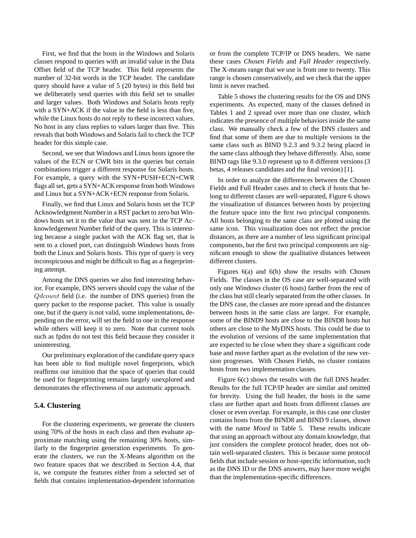First, we find that the hosts in the Windows and Solaris classes respond to queries with an invalid value in the Data Offset field of the TCP header. This field represents the number of 32-bit words in the TCP header. The candidate query should have a value of 5 (20 bytes) in this field but we deliberately send queries with this field set to smaller and larger values. Both Windows and Solaris hosts reply with a SYN+ACK if the value in the field is less than five, while the Linux hosts do not reply to these incorrect values. No host in any class replies to values larger than five. This reveals that both Windows and Solaris fail to check the TCP header for this simple case.

Second, we see that Windows and Linux hosts ignore the values of the ECN or CWR bits in the queries but certain combinations trigger a different response for Solaris hosts. For example, a query with the SYN+PUSH+ECN+CWR flags all set, gets a SYN+ACK response from both Windows and Linux but a SYN+ACK+ECN response from Solaris.

Finally, we find that Linux and Solaris hosts set the TCP Acknowledgment Number in a RST packet to zero but Windows hosts set it to the value that was sent in the TCP Acknowledgement Number field of the query. This is interesting because a single packet with the ACK flag set, that is sent to a closed port, can distinguish Windows hosts from both the Linux and Solaris hosts. This type of query is very inconspicuous and might be difficult to flag as a fingerprinting attempt.

Among the DNS queries we also find interesting behavior. For example, DNS servers should copy the value of the Qdcount field (i.e. the number of DNS queries) from the query packet to the response packet. This value is usually one, but if the query is not valid, some implementations, depending on the error, will set the field to one in the response while others will keep it to zero. Note that current tools such as fpdns do not test this field because they consider it uninteresting.

Our preliminary exploration of the candidate query space has been able to find multiple novel fingerprints, which reaffirms our intuition that the space of queries that could be used for fingerprinting remains largely unexplored and demonstrates the effectiveness of our automatic approach.

#### **5.4. Clustering**

For the clustering experiments, we generate the clusters using 70% of the hosts in each class and then evaluate approximate matching using the remaining 30% hosts, similarly to the fingerprint generation experiments. To generate the clusters, we run the X-Means algorithm on the two feature spaces that we described in Section 4.4, that is, we compute the features either from a selected set of fields that contains implementation-dependent information or from the complete TCP/IP or DNS headers. We name these cases *Chosen Fields* and *Full Header* respectively. The X-means range that we use is from one to twenty. This range is chosen conservatively, and we check that the upper limit is never reached.

Table 5 shows the clustering results for the OS and DNS experiments. As expected, many of the classes defined in Tables 1 and 2 spread over more than one cluster, which indicates the presence of multiple behaviors inside the same class. We manually check a few of the DNS clusters and find that some of them are due to multiple versions in the same class such as BIND 9.2.3 and 9.3.2 being placed in the same class although they behave differently. Also, some BIND tags like 9.3.0 represent up to 8 different versions (3 betas, 4 releases candidates and the final version) [1].

In order to analyze the differences between the Chosen Fields and Full Header cases and to check if hosts that belong to different classes are well-separated, Figure 6 shows the visualization of distances between hosts by projecting the feature space into the first two principal components. All hosts belonging to the same class are plotted using the same icon. This visualization does not reflect the precise distances, as there are a number of less significant principal components, but the first two principal components are significant enough to show the qualitative distances between different clusters.

Figures 6(a) and 6(b) show the results with Chosen Fields. The classes in the OS case are well-separated with only one Windows cluster (6 hosts) farther from the rest of the class but still clearly separated from the other classes. In the DNS case, the classes are more spread and the distances between hosts in the same class are larger. For example, some of the BIND9 hosts are close to the BIND8 hosts but others are close to the MyDNS hosts. This could be due to the evolution of versions of the same implementation that are expected to be close when they share a significant code base and move farther apart as the evolution of the new version progresses. With Chosen Fields, no cluster contains hosts from two implementation classes.

Figure 6(c) shows the results with the full DNS header. Results for the full TCP/IP header are similar and omitted for brevity. Using the full header, the hosts in the same class are further apart and hosts from different classes are closer or even overlap. For example, in this case one cluster contains hosts from the BIND8 and BIND 9 classes, shown with the name *Mixed* in Table 5. These results indicate that using an approach without any domain knowledge, that just considers the complete protocol header, does not obtain well-separated clusters. This is because some protocol fields that include session or host-specific information, such as the DNS ID or the DNS answers, may have more weight than the implementation-specific differences.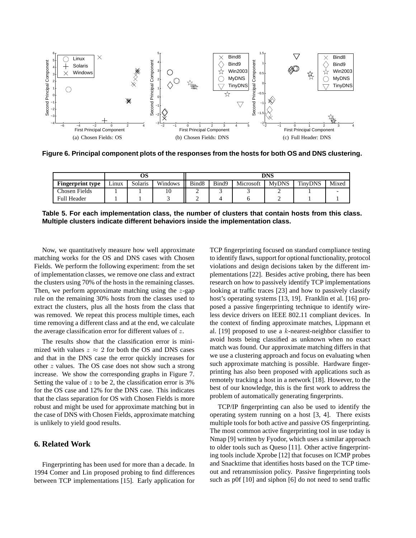

**Figure 6. Principal component plots of the responses from the hosts for both OS and DNS clustering.**

|                         |       |         |         | DNS               |       |           |              |                |       |  |
|-------------------------|-------|---------|---------|-------------------|-------|-----------|--------------|----------------|-------|--|
| <b>Fingerprint type</b> | ∟ınux | Solaris | Windows | Bind <sub>8</sub> | Bind9 | Microsoft | <b>MvDNS</b> | <b>TinvDNS</b> | Mixed |  |
| <b>Chosen Fields</b>    |       |         |         |                   |       |           |              |                |       |  |
| <b>Full Header</b>      |       |         |         | ∽                 |       |           |              |                |       |  |

**Table 5. For each implementation class, the number of clusters that contain hosts from this class. Multiple clusters indicate different behaviors inside the implementation class.**

Now, we quantitatively measure how well approximate matching works for the OS and DNS cases with Chosen Fields. We perform the following experiment: from the set of implementation classes, we remove one class and extract the clusters using 70% of the hosts in the remaining classes. Then, we perform approximate matching using the  $z$ -gap rule on the remaining 30% hosts from the classes used to extract the clusters, plus all the hosts from the class that was removed. We repeat this process multiple times, each time removing a different class and at the end, we calculate the average classification error for different values of z.

The results show that the classification error is minimized with values  $z \approx 2$  for both the OS and DNS cases and that in the DNS case the error quickly increases for other z values. The OS case does not show such a strong increase. We show the corresponding graphs in Figure 7. Setting the value of  $z$  to be 2, the classification error is 3% for the OS case and 12% for the DNS case. This indicates that the class separation for OS with Chosen Fields is more robust and might be used for approximate matching but in the case of DNS with Chosen Fields, approximate matching is unlikely to yield good results.

## **6. Related Work**

Fingerprinting has been used for more than a decade. In 1994 Comer and Lin proposed probing to find differences between TCP implementations [15]. Early application for TCP fingerprinting focused on standard compliance testing to identify flaws, support for optional functionality, protocol violations and design decisions taken by the different implementations [22]. Besides active probing, there has been research on how to passively identify TCP implementations looking at traffic traces [23] and how to passively classify host's operating systems [13, 19]. Franklin et al. [16] proposed a passive fingerprinting technique to identify wireless device drivers on IEEE 802.11 compliant devices. In the context of finding approximate matches, Lippmann et al. [19] proposed to use a  $k$ -nearest-neighbor classifier to avoid hosts being classified as unknown when no exact match was found. Our approximate matching differs in that we use a clustering approach and focus on evaluating when such approximate matching is possible. Hardware fingerprinting has also been proposed with applications such as remotely tracking a host in a network [18]. However, to the best of our knowledge, this is the first work to address the problem of automatically generating fingerprints.

TCP/IP fingerprinting can also be used to identify the operating system running on a host [3, 4]. There exists multiple tools for both active and passive OS fingerprinting. The most common active fingerprinting tool in use today is Nmap [9] written by Fyodor, which uses a similar approach to older tools such as Queso [11]. Other active fingerprinting tools include Xprobe [12] that focuses on ICMP probes and Snacktime that identifies hosts based on the TCP timeout and retransmission policy. Passive fingerprinting tools such as p0f [10] and siphon [6] do not need to send traffic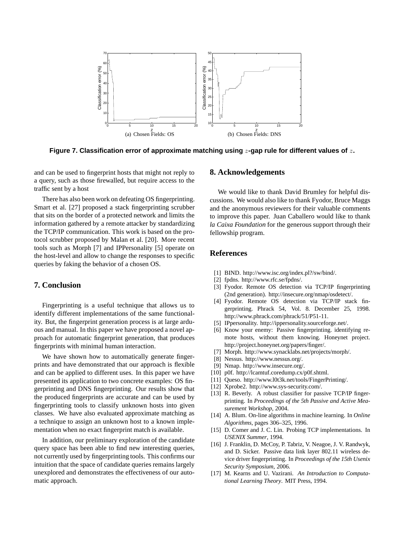

**Figure 7. Classification error of approximate matching using** z**-gap rule for different values of** z**.**

and can be used to fingerprint hosts that might not reply to a query, such as those firewalled, but require access to the traffic sent by a host

There has also been work on defeating OS fingerprinting. Smart et al. [27] proposed a stack fingerprinting scrubber that sits on the border of a protected network and limits the information gathered by a remote attacker by standardizing the TCP/IP communication. This work is based on the protocol scrubber proposed by Malan et al. [20]. More recent tools such as Morph [7] and IPPersonality [5] operate on the host-level and allow to change the responses to specific queries by faking the behavior of a chosen OS.

### **7. Conclusion**

Fingerprinting is a useful technique that allows us to identify different implementations of the same functionality. But, the fingerprint generation process is at large arduous and manual. In this paper we have proposed a novel approach for automatic fingerprint generation, that produces fingerprints with minimal human interaction.

We have shown how to automatically generate fingerprints and have demonstrated that our approach is flexible and can be applied to different uses. In this paper we have presented its application to two concrete examples: OS fingerprinting and DNS fingerprinting. Our results show that the produced fingerprints are accurate and can be used by fingerprinting tools to classify unknown hosts into given classes. We have also evaluated approximate matching as a technique to assign an unknown host to a known implementation when no exact fingerprint match is available.

In addition, our preliminary exploration of the candidate query space has been able to find new interesting queries, not currently used by fingerprinting tools. This confirms our intuition that the space of candidate queries remains largely unexplored and demonstrates the effectiveness of our automatic approach.

### **8. Acknowledgements**

We would like to thank David Brumley for helpful discussions. We would also like to thank Fyodor, Bruce Maggs and the anonymous reviewers for their valuable comments to improve this paper. Juan Caballero would like to thank *la Caixa Foundation* for the generous support through their fellowship program.

#### **References**

- [1] BIND. http://www.isc.org/index.pl?/sw/bind/.
- [2] fpdns. http://www.rfc.se/fpdns/.
- [3] Fyodor. Remote OS detection via TCP/IP fingerprinting (2nd generation). http://insecure.org/nmap/osdetect/.
- [4] Fyodor. Remote OS detection via TCP/IP stack fingerprinting. Phrack 54, Vol. 8. December 25, 1998. http://www.phrack.com/phrack/51/P51-11.
- [5] IPpersonality. http://ippersonality.sourceforge.net/.
- [6] Know your enemy: Passive fingerprinting. identifying remote hosts, without them knowing. Honeynet project. http://project.honeynet.org/papers/finger/.
- [7] Morph. http://www.synacklabs.net/projects/morph/.
- [8] Nessus. http://www.nessus.org/.
- [9] Nmap. http://www.insecure.org/.
- [10] p0f. http://lcamtuf.coredump.cx/p0f.shtml.
- [11] Queso. http://www.l0t3k.net/tools/FingerPrinting/.
- [12] Xprobe2. http://www.sys-security.com/.
- [13] R. Beverly. A robust classifier for passive TCP/IP fingerprinting. In *Proceedings of the 5th Passive and Active Measurement Workshop*, 2004.
- [14] A. Blum. On-line algorithms in machine learning. In *Online Algorithms*, pages 306–325, 1996.
- [15] D. Comer and J. C. Lin. Probing TCP implementations. In *USENIX Summer*, 1994.
- [16] J. Franklin, D. McCoy, P. Tabriz, V. Neagoe, J. V. Randwyk, and D. Sicker. Passive data link layer 802.11 wireless device driver fingerprinting. In *Proceedings of the 15th Usenix Security Symposium*, 2006.
- [17] M. Kearns and U. Vazirani. *An Introduction to Computational Learning Theory*. MIT Press, 1994.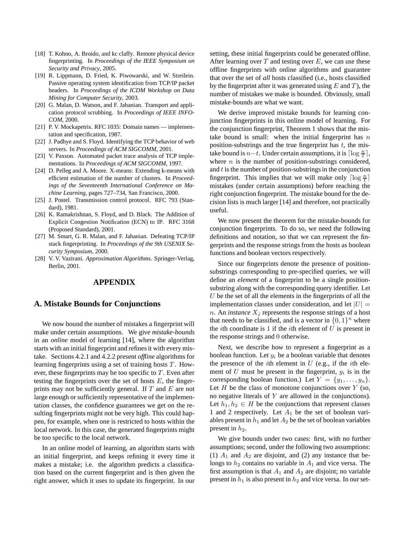- [18] T. Kohno, A. Broido, and kc claffy. Remote physical device fingerprinting. In *Proceedings of the IEEE Symposium on Security and Privacy*, 2005.
- [19] R. Lippmann, D. Fried, K. Piwowarski, and W. Streilein. Passive operating system identification from TCP/IP packet headers. In *Proceedings of the ICDM Workshop on Data Mining for Computer Security*, 2003.
- [20] G. Malan, D. Watson, and F. Jahanian. Transport and application protocol scrubbing. In *Proceedings of IEEE INFO-COM*, 2000.
- [21] P. V. Mockapetris. RFC 1035: Domain names implementation and specification, 1987.
- [22] J. Padhye and S. Floyd. Identifying the TCP behavior of web servers. In *Proceedings of ACM SIGCOMM*, 2001.
- [23] V. Paxson. Automated packet trace analysis of TCP implementations. In *Proceedings of ACM SIGCOMM*, 1997.
- [24] D. Pelleg and A. Moore. X-means: Extending k-means with efficient estimation of the number of clusters. In *Proceedings of the Seventeenth International Conference on Machine Learning*, pages 727–734, San Francisco, 2000.
- [25] J. Postel. Transmission control protocol. RFC 793 (Standard), 1981.
- [26] K. Ramakrishnan, S. Floyd, and D. Black. The Addition of Explicit Congestion Notification (ECN) to IP. RFC 3168 (Proposed Standard), 2001.
- [27] M. Smart, G. R. Malan, and F. Jahanian. Defeating TCP/IP stack fingerprinting. In *Proceedings of the 9th USENIX Security Symposium*, 2000.
- [28] V. V. Vazirani. *Approximation Algorithms*. Springer-Verlag, Berlin, 2001.

### **APPENDIX**

#### **A. Mistake Bounds for Conjunctions**

We now bound the number of mistakes a fingerprint will make under certain assumptions. We give *mistake-bounds* in an *online* model of learning [14], where the algorithm starts with an initial fingerprint and refines it with every mistake. Sections 4.2.1 and 4.2.2 present *offline* algorithms for learning fingerprints using a set of training hosts  $T$ . However, these fingerprints may be too specific to  $T$ . Even after testing the fingerprints over the set of hosts  $E$ , the fingerprints may not be sufficiently general. If  $T$  and  $E$  are not large enough or sufficiently representative of the implementation classes, the confidence guarantees we get on the resulting fingerprints might not be very high. This could happen, for example, when one is restricted to hosts within the local network. In this case, the generated fingerprints might be too specific to the local network.

In an online model of learning, an algorithm starts with an initial fingerprint, and keeps refining it every time it makes a mistake; i.e. the algorithm predicts a classification based on the current fingerprint and is then given the right answer, which it uses to update its fingerprint. In our setting, these initial fingerprints could be generated offline. After learning over  $T$  and testing over  $E$ , we can use these offline fingerprints with online algorithms and guarantee that over the set of *all* hosts classified (i.e., hosts classified by the fingerprint after it was generated using  $E$  and  $T$ ), the number of mistakes we make is bounded. Obviously, small mistake-bounds are what we want.

We derive improved mistake bounds for learning conjunction fingerprints in this online model of learning. For the conjunction fingerprint, Theorem 1 shows that the mistake bound is small: when the initial fingerprint has  $n$ position-substrings and the true fingerprint has  $t$ , the mistake bound is  $n-t$ . Under certain assumptions, it is  $\lceil \log \frac{n}{t} \rceil$ , where  $n$  is the number of position-substrings considered, and  $t$  is the number of position-substrings in the conjunction fingerprint. This implies that we will make only  $\lceil \log \frac{n}{t} \rceil$ mistakes (under certain assumptions) before reaching the right conjunction fingerprint. The mistake bound for the decision lists is much larger [14] and therefore, not practically useful.

We now present the theorem for the mistake-bounds for conjunction fingerprints. To do so, we need the following definitions and notation, so that we can represent the fingerprints and the response strings from the hosts as boolean functions and boolean vectors respectively.

Since our fingerprints denote the presence of positionsubstrings corresponding to pre-specified queries, we will define an *element* of a fingerprint to be a single positionsubstring along with the corresponding query identifier. Let  $U$  be the set of all the elements in the fingerprints of all the implementation classes under consideration, and let  $|U| =$ n. An *instance*  $X_i$  represents the response strings of a host that needs to be classified, and is a vector in  $\{0, 1\}^n$  where the *i*th coordinate is 1 if the *i*th element of  $U$  is present in the response strings and 0 otherwise.

Next, we describe how to represent a fingerprint as a boolean function. Let  $y_i$  be a boolean variable that denotes the presence of the *i*th element in  $U$  (e.g., if the *i*th element of U must be present in the fingerprint,  $y_i$  is in the corresponding boolean function.) Let  $Y = \{y_1, \ldots, y_n\}.$ Let  $H$  be the class of monotone conjunctions over  $Y$  (so, no negative literals of Y are allowed in the conjunctions). Let  $h_1, h_2 \in H$  be the conjunctions that represent classes 1 and 2 respectively. Let  $A_1$  be the set of boolean variables present in  $h_1$  and let  $A_2$  be the set of boolean variables present in  $h_2$ .

We give bounds under two cases: first, with no further assumptions; second, under the following two assumptions: (1)  $A_1$  and  $A_2$  are disjoint, and (2) any instance that belongs to  $h_2$  contains no variable in  $A_1$  and vice versa. The first assumption is that  $A_1$  and  $A_2$  are disjoint; no variable present in  $h_1$  is also present in  $h_2$  and vice versa. In our set-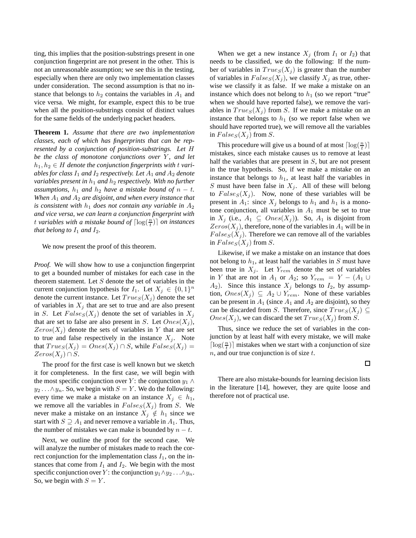ting, this implies that the position-substrings present in one conjunction fingerprint are not present in the other. This is not an unreasonable assumption; we see this in the testing, especially when there are only two implementation classes under consideration. The second assumption is that no instance that belongs to  $h_2$  contains the variables in  $A_1$  and vice versa. We might, for example, expect this to be true when all the position-substrings consist of distinct values for the same fields of the underlying packet headers.

**Theorem 1.** *Assume that there are two implementation classes, each of which has fingerprints that can be represented by a conjunction of position-substrings. Let* H *be the class of monotone conjunctions over* Y, and let  $h_1, h_2 \in H$  denote the conjunction fingerprints with t vari*ables for class*  $I_1$  *and*  $I_2$  *respectively. Let*  $A_1$  *and*  $A_2$  *denote variables present in*  $h_1$  *and*  $h_2$  *respectively. With no further assumptions,*  $h_1$  *and*  $h_2$  *have a mistake bound of*  $n - t$ *. When*  $A_1$  *and*  $A_2$  *are disjoint, and when every instance that is consistent with*  $h_1$  *does not contain any variable in*  $A_2$ *and vice versa, we can learn a conjunction fingerprint with* t variables with a mistake bound of  $\lceil \log(\frac{n}{t}) \rceil$  on instances *that belong to*  $I_1$  *and*  $I_2$ *.* 

We now present the proof of this theorem.

*Proof.* We will show how to use a conjunction fingerprint to get a bounded number of mistakes for each case in the theorem statement. Let  $S$  denote the set of variables in the current conjunction hypothesis for  $I_1$ . Let  $X_j \in \{0,1\}^n$ denote the current instance. Let  $True_{S}(X_{j})$  denote the set of variables in  $X_j$  that are set to true and are also present in S. Let  $False_S(X_j)$  denote the set of variables in  $X_j$ that are set to false are also present in S. Let  $Ones(X_i)$ ,  $Zeros(X_i)$  denote the sets of variables in Y that are set to true and false respectively in the instance  $X_j$ . Note that  $True_{S}(X_j) = Ones(X_j) \cap S$ , while  $False_{S}(X_j) =$  $Zeros(X_i) \cap S$ .

The proof for the first case is well known but we sketch it for completeness. In the first case, we will begin with the most specific conjunction over Y: the conjunction  $y_1 \wedge$  $y_2 \dots \wedge y_n$ . So, we begin with  $S = Y$ . We do the following: every time we make a mistake on an instance  $X_i \in h_1$ , we remove all the variables in  $False_S(X_j)$  from S. We never make a mistake on an instance  $X_j \notin h_1$  since we start with  $S \supseteq A_1$  and never remove a variable in  $A_1$ . Thus, the number of mistakes we can make is bounded by  $n - t$ .

Next, we outline the proof for the second case. We will analyze the number of mistakes made to reach the correct conjunction for the implementation class  $I_1$ , on the instances that come from  $I_1$  and  $I_2$ . We begin with the most specific conjunction over Y : the conjunction  $y_1 \wedge y_2 \dots \wedge y_n$ . So, we begin with  $S = Y$ .

When we get a new instance  $X_i$  (from  $I_1$  or  $I_2$ ) that needs to be classified, we do the following: If the number of variables in  $True_{S}(X_{j})$  is greater than the number of variables in  $False_S(X_j)$ , we classify  $X_j$  as true, otherwise we classify it as false. If we make a mistake on an instance which does not belong to  $h_1$  (so we report "true" when we should have reported false), we remove the variables in  $Trues(X_i)$  from S. If we make a mistake on an instance that belongs to  $h_1$  (so we report false when we should have reported true), we will remove all the variables in  $False_S(X_i)$  from S.

This procedure will give us a bound of at most  $\lceil \log(\frac{n}{t}) \rceil$ mistakes, since each mistake causes us to remove at least half the variables that are present in S, but are not present in the true hypothesis. So, if we make a mistake on an instance that belongs to  $h_1$ , at least half the variables in S must have been false in  $X_j$ . All of these will belong to  $False_S(X_j)$ . Now, none of these variables will be present in  $A_1$ : since  $X_j$  belongs to  $h_1$  and  $h_1$  is a monotone conjunction, all variables in  $A_1$  must be set to true in  $X_j$  (i.e.,  $A_1 \subseteq \text{Ones}(X_j)$ ). So,  $A_1$  is disjoint from  $Zeros(X_i)$ , therefore, none of the variables in  $A_1$  will be in  $False_S(X_j)$ . Therefore we can remove all of the variables in  $False_S(X_i)$  from S.

Likewise, if we make a mistake on an instance that does not belong to  $h_1$ , at least half the variables in S must have been true in  $X_i$ . Let  $Y_{rem}$  denote the set of variables in Y that are not in  $A_1$  or  $A_2$ ; so  $Y_{rem} = Y - (A_1 \cup$  $A_2$ ). Since this instance  $X_j$  belongs to  $I_2$ , by assumption,  $Ones(X_j) \subseteq A_2 \cup Y_{rem}$ . None of these variables can be present in  $A_1$  (since  $A_1$  and  $A_2$  are disjoint), so they can be discarded from S. Therefore, since  $Trues(X_j) \subseteq$  $Ones(X_i)$ , we can discard the set  $True_{S}(X_i)$  from S.

Thus, since we reduce the set of variables in the conjunction by at least half with every mistake, we will make  $\lceil \log(\frac{n}{t}) \rceil$  mistakes when we start with a conjunction of size  $n$ , and our true conjunction is of size  $t$ .

 $\Box$ 

There are also mistake-bounds for learning decision lists in the literature [14], however, they are quite loose and therefore not of practical use.